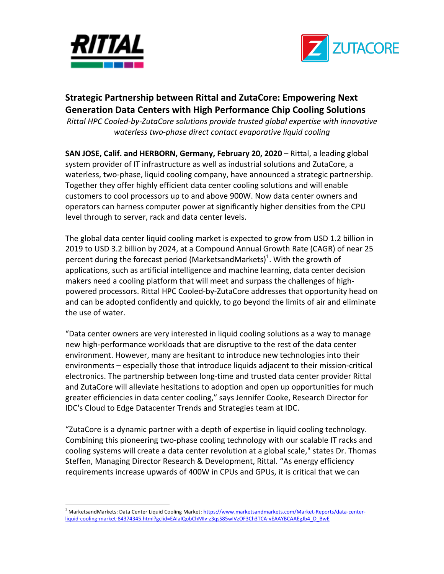



## **Strategic Partnership between Rittal and ZutaCore: Empowering Next Generation Data Centers with High Performance Chip Cooling Solutions**

*Rittal HPC Cooled-by-ZutaCore solutions provide trusted global expertise with innovative waterless two-phase direct contact evaporative liquid cooling*

**SAN JOSE, Calif. and HERBORN, Germany, February 20, 2020** – Rittal, a leading global system provider of IT infrastructure as well as industrial solutions and ZutaCore, a waterless, two-phase, liquid cooling company, have announced a strategic partnership. Together they offer highly efficient data center cooling solutions and will enable customers to cool processors up to and above 900W. Now data center owners and operators can harness computer power at significantly higher densities from the CPU level through to server, rack and data center levels.

The global data center liquid cooling market is expected to grow from USD 1.2 billion in 2019 to USD 3.2 billion by 2024, at a Compound Annual Growth Rate (CAGR) of near 25 percent during the forecast period (MarketsandMarkets)<sup>1</sup>. With the growth of applications, such as artificial intelligence and machine learning, data center decision makers need a cooling platform that will meet and surpass the challenges of highpowered processors. Rittal HPC Cooled-by-ZutaCore addresses that opportunity head on and can be adopted confidently and quickly, to go beyond the limits of air and eliminate the use of water.

"Data center owners are very interested in liquid cooling solutions as a way to manage new high-performance workloads that are disruptive to the rest of the data center environment. However, many are hesitant to introduce new technologies into their environments – especially those that introduce liquids adjacent to their mission-critical electronics. The partnership between long-time and trusted data center provider Rittal and ZutaCore will alleviate hesitations to adoption and open up opportunities for much greater efficiencies in data center cooling," says Jennifer Cooke, Research Director for IDC's Cloud to Edge Datacenter Trends and Strategies team at IDC.

"ZutaCore is a dynamic partner with a depth of expertise in liquid cooling technology. Combining this pioneering two-phase cooling technology with our scalable IT racks and cooling systems will create a data center revolution at a global scale," states Dr. Thomas Steffen, Managing Director Research & Development, Rittal. "As energy efficiency requirements increase upwards of 400W in CPUs and GPUs, it is critical that we can

 

<sup>&</sup>lt;sup>1</sup> MarketsandMarkets: Data Center Liquid Cooling Market: https://www.marketsandmarkets.com/Market-Reports/data-centerliquid-cooling-market-84374345.html?gclid=EAIaIQobChMIv-z3qsS85wIVzOF3Ch3TCA-vEAAYBCAAEgJb4\_D\_BwE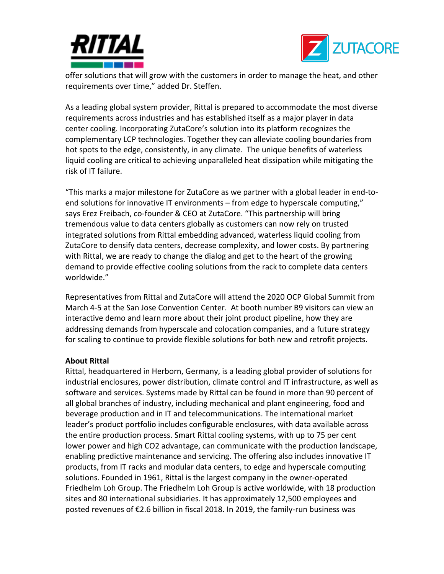



offer solutions that will grow with the customers in order to manage the heat, and other requirements over time," added Dr. Steffen.

As a leading global system provider, Rittal is prepared to accommodate the most diverse requirements across industries and has established itself as a major player in data center cooling. Incorporating ZutaCore's solution into its platform recognizes the complementary LCP technologies. Together they can alleviate cooling boundaries from hot spots to the edge, consistently, in any climate. The unique benefits of waterless liquid cooling are critical to achieving unparalleled heat dissipation while mitigating the risk of IT failure.

"This marks a major milestone for ZutaCore as we partner with a global leader in end-toend solutions for innovative IT environments – from edge to hyperscale computing," says Erez Freibach, co-founder & CEO at ZutaCore. "This partnership will bring tremendous value to data centers globally as customers can now rely on trusted integrated solutions from Rittal embedding advanced, waterless liquid cooling from ZutaCore to densify data centers, decrease complexity, and lower costs. By partnering with Rittal, we are ready to change the dialog and get to the heart of the growing demand to provide effective cooling solutions from the rack to complete data centers worldwide."

Representatives from Rittal and ZutaCore will attend the 2020 OCP Global Summit from March 4-5 at the San Jose Convention Center. At booth number B9 visitors can view an interactive demo and learn more about their joint product pipeline, how they are addressing demands from hyperscale and colocation companies, and a future strategy for scaling to continue to provide flexible solutions for both new and retrofit projects.

## **About Rittal**

Rittal, headquartered in Herborn, Germany, is a leading global provider of solutions for industrial enclosures, power distribution, climate control and IT infrastructure, as well as software and services. Systems made by Rittal can be found in more than 90 percent of all global branches of industry, including mechanical and plant engineering, food and beverage production and in IT and telecommunications. The international market leader's product portfolio includes configurable enclosures, with data available across the entire production process. Smart Rittal cooling systems, with up to 75 per cent lower power and high CO2 advantage, can communicate with the production landscape, enabling predictive maintenance and servicing. The offering also includes innovative IT products, from IT racks and modular data centers, to edge and hyperscale computing solutions. Founded in 1961, Rittal is the largest company in the owner-operated Friedhelm Loh Group. The Friedhelm Loh Group is active worldwide, with 18 production sites and 80 international subsidiaries. It has approximately 12,500 employees and posted revenues of  $E$ 2.6 billion in fiscal 2018. In 2019, the family-run business was